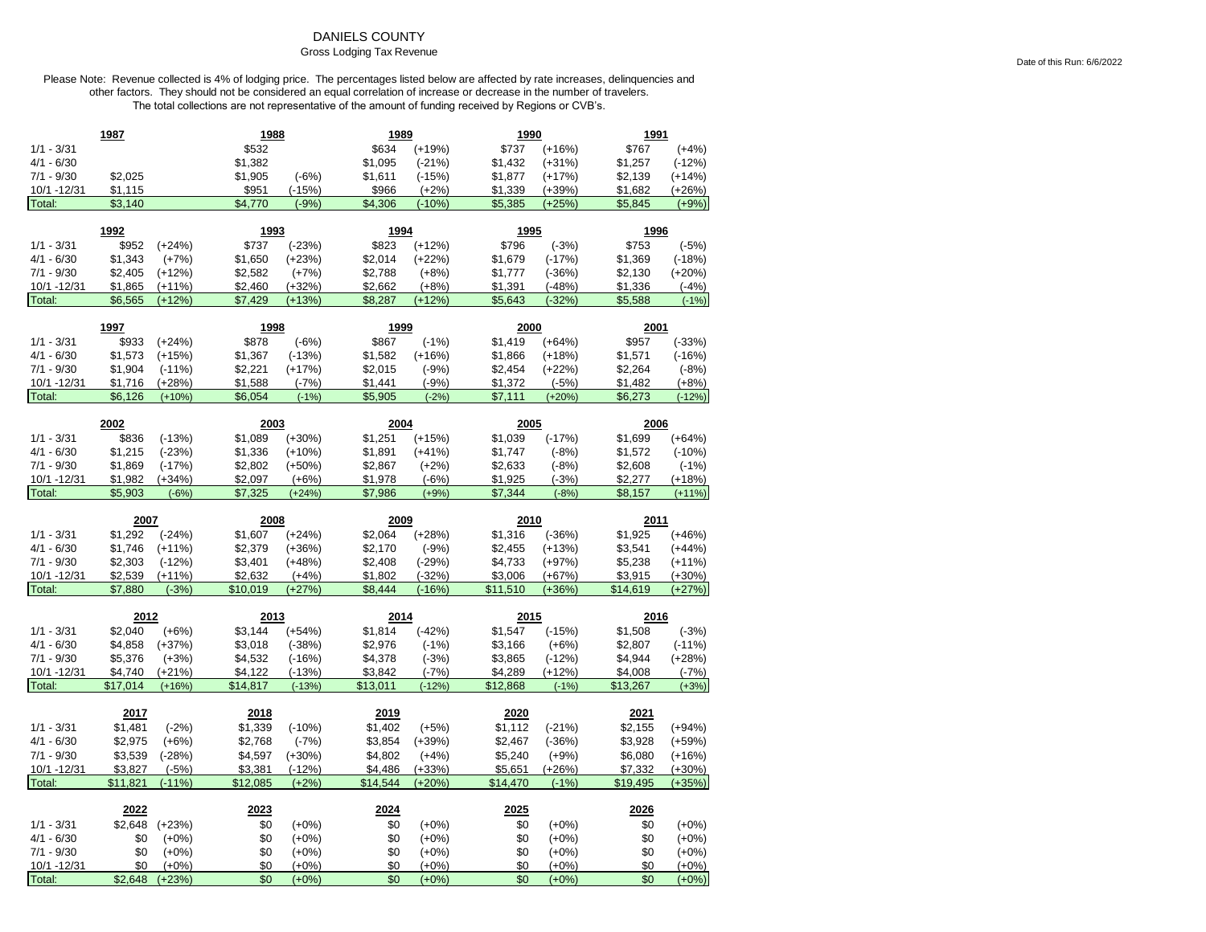## DANIELS COUNTY

## Gross Lodging Tax Revenue

|                        | 1987           |                     | 1988       |                    | 1989       |                    | 1990       |                    | 1991       |                    |
|------------------------|----------------|---------------------|------------|--------------------|------------|--------------------|------------|--------------------|------------|--------------------|
| $1/1 - 3/31$           |                |                     | \$532      |                    | \$634      | $(+19%)$           | \$737      | $(+16%)$           | \$767      | $(+4%)$            |
| $4/1 - 6/30$           |                |                     | \$1,382    |                    | \$1,095    | $(-21%)$           | \$1,432    | $(+31%)$           | \$1,257    | $(-12%)$           |
| $7/1 - 9/30$           | \$2,025        |                     | \$1,905    | $(-6%)$            | \$1,611    | $(-15%)$           | \$1,877    | $(+17%)$           | \$2,139    | $(+14%)$           |
| 10/1 - 12/31           | \$1,115        |                     | \$951      | $(-15%)$           | \$966      | $(+2%)$            | \$1,339    | $(+39%)$           | \$1,682    | $(+26%)$           |
| Total:                 | \$3,140        |                     | \$4,770    | $(-9%)$            | \$4,306    | $(-10%$            | \$5,385    | $(+25%)$           | \$5,845    | $(+9%)$            |
|                        |                |                     |            |                    |            |                    |            |                    |            |                    |
|                        | 1992           |                     | 1993       |                    | 1994       |                    | 1995       |                    | 1996       |                    |
| $1/1 - 3/31$           | \$952          | $(+24%)$            | \$737      | $(-23%)$           | \$823      | $(+12%)$           | \$796      | $(-3%)$            | \$753      | $(-5%)$            |
| $4/1 - 6/30$           | \$1,343        | $(+7%)$             | \$1,650    | $(+23%)$           | \$2,014    | $(+22%)$           | \$1,679    | $(-17%)$           | \$1,369    | $(-18%)$           |
| $7/1 - 9/30$           | \$2,405        | $(+12%)$            | \$2,582    | $(+7%)$            | \$2,788    | $(+8%)$            | \$1,777    | $(-36%)$           | \$2,130    | $(+20%)$           |
| 10/1 - 12/31           | \$1,865        | $(+11%)$            | \$2,460    | $(+32%)$           | \$2,662    | $(+8%)$            | \$1,391    | $(-48%)$           | \$1,336    | $(-4%)$            |
| Total:                 | \$6,565        | $(+12%)$            | \$7,429    | $(+13%)$           | \$8,287    | $(+12%$            | \$5,643    | $(-32%)$           | \$5,588    | $(-1%)$            |
|                        |                |                     |            |                    |            |                    |            |                    |            |                    |
|                        | 1997           |                     | 1998       |                    | 1999       |                    | 2000       |                    | 2001       |                    |
| $1/1 - 3/31$           | \$933          | $(+24%)$            | \$878      | $(-6%)$            | \$867      | $(-1%)$            | \$1,419    | $(+64%)$           | \$957      | $(-33%)$           |
| $4/1 - 6/30$           | \$1,573        | $(+15%)$            | \$1,367    | $(-13%)$           | \$1,582    | $(+16%)$           | \$1,866    | $(+18%)$           | \$1,571    | $(-16%)$           |
| $7/1 - 9/30$           | \$1,904        | $(-11%)$            | \$2,221    | $(+17%)$           | \$2,015    | $(-9%)$            | \$2,454    | $(+22%)$           | \$2,264    | $(-8%)$            |
| 10/1 - 12/31           | \$1,716        | $(+28%)$            | \$1,588    | $(-7%)$            | \$1,441    | $(-9%)$            | \$1,372    | $(-5%)$            | \$1,482    | $(+8%)$            |
| Total:                 | \$6,126        | $(+10%)$            | \$6,054    | $(-1%)$            | \$5,905    | $(-2%)$            | \$7,111    | $(+20%)$           | \$6,273    | $(-12%)$           |
|                        |                |                     |            |                    |            |                    |            |                    |            |                    |
|                        | 2002           |                     | 2003       |                    | 2004       |                    | 2005       |                    | 2006       |                    |
| $1/1 - 3/31$           | \$836          | $(-13%)$            | \$1,089    | $(+30%)$           | \$1,251    | $(+15%)$           | \$1,039    | $(-17%)$           | \$1,699    | $(+64%)$           |
| $4/1 - 6/30$           | \$1,215        | $(-23%)$            | \$1,336    | $(+10%)$           | \$1,891    | $(+41%)$           | \$1,747    | $(-8%)$            | \$1,572    | $(-10%)$           |
| $7/1 - 9/30$           | \$1,869        | $(-17%)$            | \$2,802    | $(+50%)$           | \$2,867    | $(+2%)$            | \$2,633    | $(-8%)$            | \$2,608    | $(-1%)$            |
| 10/1 - 12/31           | \$1,982        | $(+34%)$            | \$2,097    | $(+6%)$            | \$1,978    | $(-6%)$            | \$1,925    | $(-3%)$            | \$2,277    | $(+18%)$           |
| Total:                 | \$5,903        | $(-6%)$             | \$7,325    | $(+24%)$           | \$7,986    | $(+9%)$            | \$7,344    | $(-8%)$            | \$8,157    | $(+11%)$           |
|                        |                |                     |            |                    |            |                    |            |                    |            |                    |
|                        | 2007           |                     | 2008       |                    | 2009       |                    | 2010       |                    | 2011       |                    |
| $1/1 - 3/31$           | \$1,292        | $(-24%)$            | \$1,607    | $(+24%)$           | \$2,064    | $(+28%)$           | \$1,316    | $(-36%)$           | \$1,925    | $(+46%)$           |
| $4/1 - 6/30$           | \$1,746        | $(+11%)$            | \$2,379    | $(+36%)$           | \$2,170    | $(-9%)$            | \$2,455    | $(+13%)$           | \$3,541    | $(+44%)$           |
| $7/1 - 9/30$           | \$2,303        | $(-12%)$            | \$3,401    | $(+48%)$           | \$2,408    | $(-29%)$           | \$4,733    | $(+97%)$           | \$5,238    | $(+11%)$           |
| 10/1 - 12/31           | \$2,539        | $(+11%)$            | \$2,632    | $(+4%)$            | \$1,802    | $(-32%)$           | \$3,006    | $(+67%)$           | \$3,915    | $(+30%)$           |
| Total:                 | \$7,880        | $(-3%)$             | \$10,019   | $(+27%)$           | \$8,444    | $(-16%)$           | \$11,510   | $(+36%)$           | \$14,619   | $(+27%)$           |
|                        |                |                     |            |                    |            |                    |            |                    |            |                    |
|                        | 2012           |                     | 2013       |                    | 2014       |                    | 2015       |                    | 2016       |                    |
| $1/1 - 3/31$           | \$2,040        | $(+6%)$             | \$3,144    | $(+54%)$           | \$1,814    | $(-42%)$           | \$1,547    | $(-15%)$           | \$1,508    | $(-3%)$            |
| $4/1 - 6/30$           | \$4,858        | $(+37%)$            | \$3,018    | $(-38%)$           | \$2,976    | $(-1%)$            | \$3,166    | $(+6%)$            | \$2,807    | $(-11\%)$          |
| $7/1 - 9/30$           | \$5,376        | $(+3%)$             |            | $(-16%)$           |            |                    |            |                    | \$4,944    | $(+28%)$           |
| 10/1 - 12/31           |                |                     | \$4,532    |                    | \$4,378    | $(-3%)$            | \$3,865    | $(-12%)$           |            |                    |
|                        | \$4,740        | $(+21%)$            | \$4,122    | $(-13%)$           | \$3,842    | $(-7%)$            | \$4,289    | $(+12%)$           | \$4,008    | $(-7%)$            |
| Total:                 | \$17,014       | $(+16%)$            | \$14,817   | $(-13%)$           | \$13,011   | $(-12%)$           | \$12,868   | $(-1%)$            | \$13,267   | $(+3%)$            |
|                        |                |                     |            |                    |            |                    |            |                    |            |                    |
|                        | 2017           |                     | 2018       |                    | 2019       |                    | 2020       |                    | 2021       |                    |
| $1/1 - 3/31$           | \$1,481        | $(-2%)$             | \$1,339    | $(-10%)$           | \$1,402    | $(+5%)$            | \$1,112    | $(-21%)$           | \$2,155    | $(+94%)$           |
| 4/1 - 6/30             | \$2,975        | $(+6%)$             | \$2,768    | $(-7%)$            | \$3,854    | $(+39%)$           | \$2,467    | $(-36%)$           | \$3,928    | $(+59%)$           |
| $7/1 - 9/30$           | \$3,539        | $(-28%)$            | \$4,597    | $(+30%)$           | \$4,802    | $(+4%)$            | \$5,240    | $(+9%)$            | \$6,080    | $(+16%)$           |
| 10/1 - 12/31           | \$3,827        | $(-5%)$             | \$3,381    | $(-12%)$           | \$4,486    | $(+33%)$           | \$5,651    | $(+26%)$           | \$7,332    | $(+30%)$           |
| Total:                 | \$11,821       | $(-11%)$            | \$12,085   | $(+2%)$            | \$14,544   | $(+20%)$           | \$14,470   | $(-1%)$            | \$19,495   | (+35%)             |
|                        |                |                     |            |                    |            |                    |            |                    |            |                    |
|                        | 2022           |                     | 2023       |                    | 2024       |                    | 2025       |                    | 2026       |                    |
| $1/1 - 3/31$           | \$2,648        | $(+23%)$            | \$0        | $(+0\%)$           | \$0        | $(+0%)$            | \$0        | $(+0%)$            | \$0        | $(+0%)$            |
| $4/1 - 6/30$           | \$0            | $(+0%)$             | \$0        | $(+0%)$            | \$0        | $(+0%)$            | \$0        | $(+0%)$            | \$0        | $(+0%)$            |
| $7/1 - 9/30$           | \$0            | $(+0%)$             | \$0        | $(+0%)$            | \$0        | $(+0%)$            | \$0        | $(+0%)$            | \$0        | $(+0\%)$           |
| 10/1 - 12/31<br>Total: | \$0<br>\$2,648 | $(+0%)$<br>$(+23%)$ | \$0<br>\$0 | $(+0%)$<br>$(+0%)$ | \$0<br>\$0 | $(+0%)$<br>$(+0%)$ | \$0<br>\$0 | $(+0%)$<br>$(+0%)$ | \$0<br>\$0 | $(+0%)$<br>$(+0%)$ |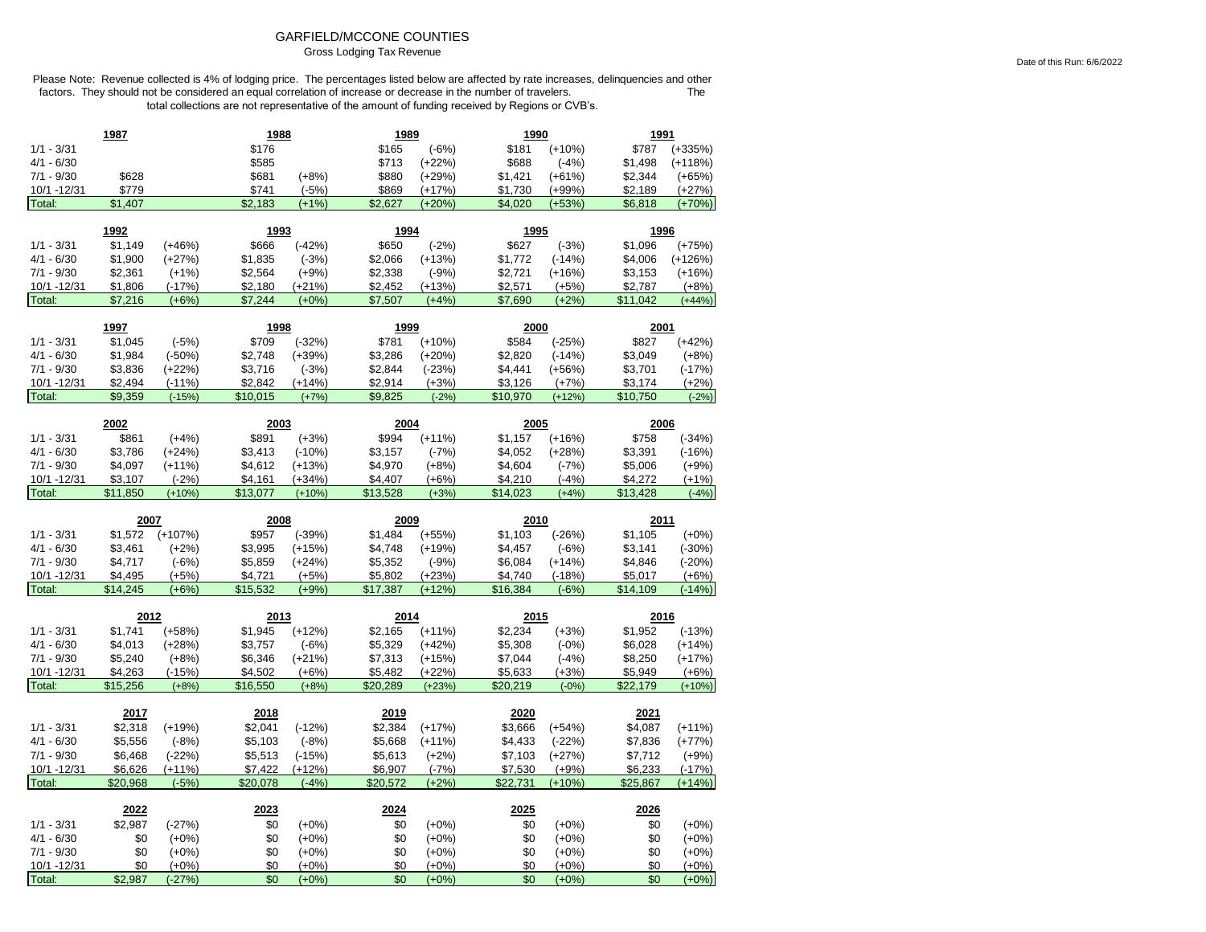## GARFIELD/MCCONE COUNTIES Gross Lodging Tax Revenue

|                              | 1987               |                      | 1988               |                     | 1989               |                     | 1990               |                     | 1991               |                     |
|------------------------------|--------------------|----------------------|--------------------|---------------------|--------------------|---------------------|--------------------|---------------------|--------------------|---------------------|
| $1/1 - 3/31$                 |                    |                      | \$176              |                     | \$165              | $(-6%)$             | \$181              | $(+10%)$            | \$787              | $(+335%)$           |
| $4/1 - 6/30$                 |                    |                      | \$585              |                     | \$713              | $(+22%)$            | \$688              | $(-4%)$             | \$1,498            | $(+118%)$           |
| $7/1 - 9/30$                 | \$628              |                      | \$681              | $(+8%)$             | \$880              | $(+29%)$            | \$1,421            | $(+61%)$            | \$2,344            | $(+65%)$            |
| 10/1 -12/31                  | \$779              |                      | \$741              | $(-5%)$             | \$869              | $(+17%)$            | \$1,730            | $(+99%)$            | \$2,189            | $(+27%)$            |
| Total:                       | \$1,407            |                      | \$2,183            | $(+1%)$             | \$2,627            | $(+20%)$            | \$4,020            | $(+53%)$            | \$6,818            | $(+70%)$            |
|                              | 1992               |                      | 1993               |                     | 1994               |                     | 1995               |                     | 1996               |                     |
|                              |                    |                      |                    |                     |                    |                     |                    |                     |                    |                     |
| $1/1 - 3/31$<br>$4/1 - 6/30$ | \$1,149<br>\$1,900 | $(+46%)$<br>$(+27%)$ | \$666<br>\$1,835   | $(-42%)$<br>$(-3%)$ | \$650              | $(-2%)$             | \$627<br>\$1,772   | $(-3%)$             | \$1,096<br>\$4,006 | $(+75%)$            |
| $7/1 - 9/30$                 |                    |                      |                    |                     | \$2,066            | $(+13%)$            |                    | $(-14%)$            |                    | $(+126%)$           |
| 10/1 - 12/31                 | \$2,361<br>\$1,806 | $(+1%)$<br>$(-17%)$  | \$2,564<br>\$2,180 | $(+9%)$<br>$(+21%)$ | \$2,338<br>\$2,452 | $(-9%)$<br>$(+13%)$ | \$2,721<br>\$2,571 | $(+16%)$<br>$(+5%)$ | \$3,153<br>\$2,787 | $(+16%)$<br>$(+8%)$ |
| Total:                       | \$7,216            | $(+6%)$              | \$7,244            | $(+0%)$             | \$7,507            | $(+4% )$            | \$7,690            | $(+2%)$             | \$11,042           | $(+44%)$            |
|                              |                    |                      |                    |                     |                    |                     |                    |                     |                    |                     |
|                              | 1997               |                      | 1998               |                     | 1999               |                     | 2000               |                     | 2001               |                     |
| $1/1 - 3/31$                 | \$1,045            | $(-5%)$              | \$709              | $(-32%)$            | \$781              | $(+10%)$            | \$584              | $(-25%)$            | \$827              | $(+42%)$            |
| $4/1 - 6/30$                 | \$1,984            | $(-50%)$             | \$2,748            | $(+39%)$            | \$3,286            | $(+20%)$            | \$2,820            | $(-14%)$            | \$3,049            | $(+8%)$             |
| $7/1 - 9/30$                 | \$3,836            | $(+22%)$             | \$3,716            | $(-3%)$             | \$2,844            | $(-23%)$            | \$4,441            | $(+56%)$            | \$3,701            | $(-17%)$            |
| 10/1 - 12/31                 | \$2,494            | $(-11%)$             | \$2,842            | $(+14%)$            | \$2,914            | $(+3%)$             | \$3,126            | $(+7%)$             | \$3,174            | $(+2%)$             |
| Total:                       | \$9,359            | $(-15%)$             | \$10,015           | $(+7%)$             | \$9,825            | $(-2%)$             | \$10,970           | $(+12%)$            | \$10,750           | $(-2%)$             |
|                              | 2002               |                      | 2003               |                     | 2004               |                     | 2005               |                     | 2006               |                     |
| $1/1 - 3/31$                 | \$861              | $(+4%)$              | \$891              | $(+3%)$             | \$994              | $(+11%)$            | \$1,157            | $(+16%)$            | \$758              | $(-34%)$            |
| $4/1 - 6/30$                 | \$3,786            | $(+24%)$             | \$3,413            | $(-10%)$            | \$3,157            | $(-7%)$             | \$4,052            | $(+28%)$            | \$3,391            | $(-16%)$            |
| $7/1 - 9/30$                 | \$4,097            | $(+11%)$             | \$4,612            | $(+13%)$            | \$4,970            | $(+8%)$             | \$4,604            | $(-7%)$             | \$5,006            | $(+9%)$             |
| 10/1 - 12/31                 | \$3,107            | $(-2%)$              | \$4,161            | $(+34%)$            | \$4,407            | $(+6%)$             | \$4,210            | $(-4%)$             | \$4,272            | $(+1%)$             |
| Total:                       | \$11,850           | $(+10%)$             | \$13,077           | $(+10%)$            | \$13,528           | $(+3%)$             | \$14,023           | $(+4%)$             | \$13,428           | $(-4%)$             |
|                              |                    |                      |                    |                     |                    |                     |                    |                     |                    |                     |
|                              |                    |                      |                    |                     |                    |                     |                    |                     |                    |                     |
|                              | 2007               |                      | 2008               |                     | 2009               |                     | 2010               |                     | 2011               |                     |
| $1/1 - 3/31$                 | \$1,572            | $(+107%)$            | \$957              | $(-39%)$            | \$1,484            | $(+55%)$            | \$1,103            | $(-26%)$            | \$1,105            | $(+0%)$             |
| $4/1 - 6/30$                 | \$3,461            | $(+2%)$              | \$3,995            | $(+15%)$            | \$4,748            | $(+19%)$            | \$4,457            | $(-6%)$             | \$3,141            | $(-30%)$            |
| $7/1 - 9/30$                 | \$4,717            | $(-6%)$              | \$5,859            | $(+24%)$            | \$5,352            | $(-9%)$             | \$6,084            | $(+14%)$            | \$4,846            | $(-20%)$            |
| 10/1 - 12/31                 | \$4,495            | $(+5%)$              | \$4,721            | $(+5%)$             | \$5,802            | $(+23%)$            | \$4,740            | $(-18%)$            | \$5,017            | $(+6%)$             |
| Total:                       | \$14,245           | $(+6%)$              | \$15,532           | $(+9%)$             | \$17,387           | $(+12%)$            | \$16,384           | $(-6%)$             | \$14,109           | $(-14%)$            |
|                              | 2012               |                      | 2013               |                     | 2014               |                     | 2015               |                     | 2016               |                     |
| $1/1 - 3/31$                 | \$1,741            | $(+58%)$             | \$1,945            | $(+12%)$            | \$2,165            | $(+11%)$            | \$2,234            | $(+3%)$             | \$1,952            | $(-13%)$            |
| 4/1 - 6/30                   | \$4,013            | $(+28%)$             | \$3,757            | $(-6%)$             | \$5,329            | $(+42%)$            | \$5,308            | $(-0%)$             | \$6,028            | $(+14%)$            |
| $7/1 - 9/30$                 | \$5,240            | $(+8%)$              | \$6,346            | $(+21%)$            | \$7,313            | (+15%)              | \$7,044            | $(-4%)$             | \$8,250            | $(+17%)$            |
| 10/1 - 12/31                 | \$4,263            | $(-15%)$             | \$4,502            | $(+6%)$             | \$5,482            | $(+22%)$            | \$5,633            | $(+3%)$             | \$5,949            | $(+6%)$             |
| Total:                       | \$15,256           | $(+8%)$              | \$16,550           | $(+8%)$             | \$20.289           | $(+23%)$            | \$20,219           | $(-0%)$             | \$22,179           | $(+10%)$            |
|                              | 2017               |                      | 2018               |                     | 2019               |                     | 2020               |                     | 2021               |                     |
| $1/1 - 3/31$                 | \$2,318            | $(+19%)$             | \$2,041            | $(-12%)$            | \$2,384            | $(+17%)$            | \$3,666            | $(+54%)$            | \$4,087            | $(+11%)$            |
| $4/1 - 6/30$                 | \$5,556            | $(-8%)$              | \$5,103            | $(-8%)$             | \$5,668            | $(+11%)$            | \$4,433            | $(-22%)$            | \$7,836            | $(+77%)$            |
| $7/1 - 9/30$                 | \$6,468            | $(-22%)$             | \$5,513            | $(-15%)$            | \$5,613            | $(+2%)$             | \$7,103            | $(+27%)$            | \$7,712            | $(+9%)$             |
| 10/1 - 12/31                 | \$6,626            | $(+11%)$             | \$7,422            | $(+12%)$            | \$6,907            | $(-7%)$             | \$7,530            | $(+9%)$             | \$6,233            | $(-17%)$            |
| Total:                       | \$20,968           | $(-5%)$              | \$20,078           | $(-4%)$             | \$20,572           | $(+2%)$             | \$22,731           | $(+10%)$            | \$25,867           | $(+14%)$            |
|                              |                    |                      |                    |                     |                    |                     |                    |                     |                    |                     |
|                              | 2022               |                      | 2023               |                     | 2024               |                     | 2025               |                     | 2026               |                     |
| $1/1 - 3/31$                 | \$2,987            | $(-27%)$             | \$0                | $(+0%)$             | \$0                | $(+0\%)$            | \$0                | $(+0%)$             | \$0                | $(+0%)$             |
| $4/1 - 6/30$                 | \$0                | $(+0%)$              | \$0                | $(+0%)$             | \$0                | $(+0%)$             | \$0                | $(+0%)$             | \$0                | $(+0\%)$            |
| $7/1 - 9/30$<br>10/1 - 12/31 | \$0<br>\$0         | $(+0%)$<br>$(+0%)$   | \$0<br>\$0         | $(+0%)$<br>$(+0%)$  | \$0<br>\$0         | $(+0%)$<br>$(+0%)$  | \$0<br>\$0         | $(+0%)$<br>$(+0%)$  | \$0<br>\$0         | $(+0%)$<br>$(+0%)$  |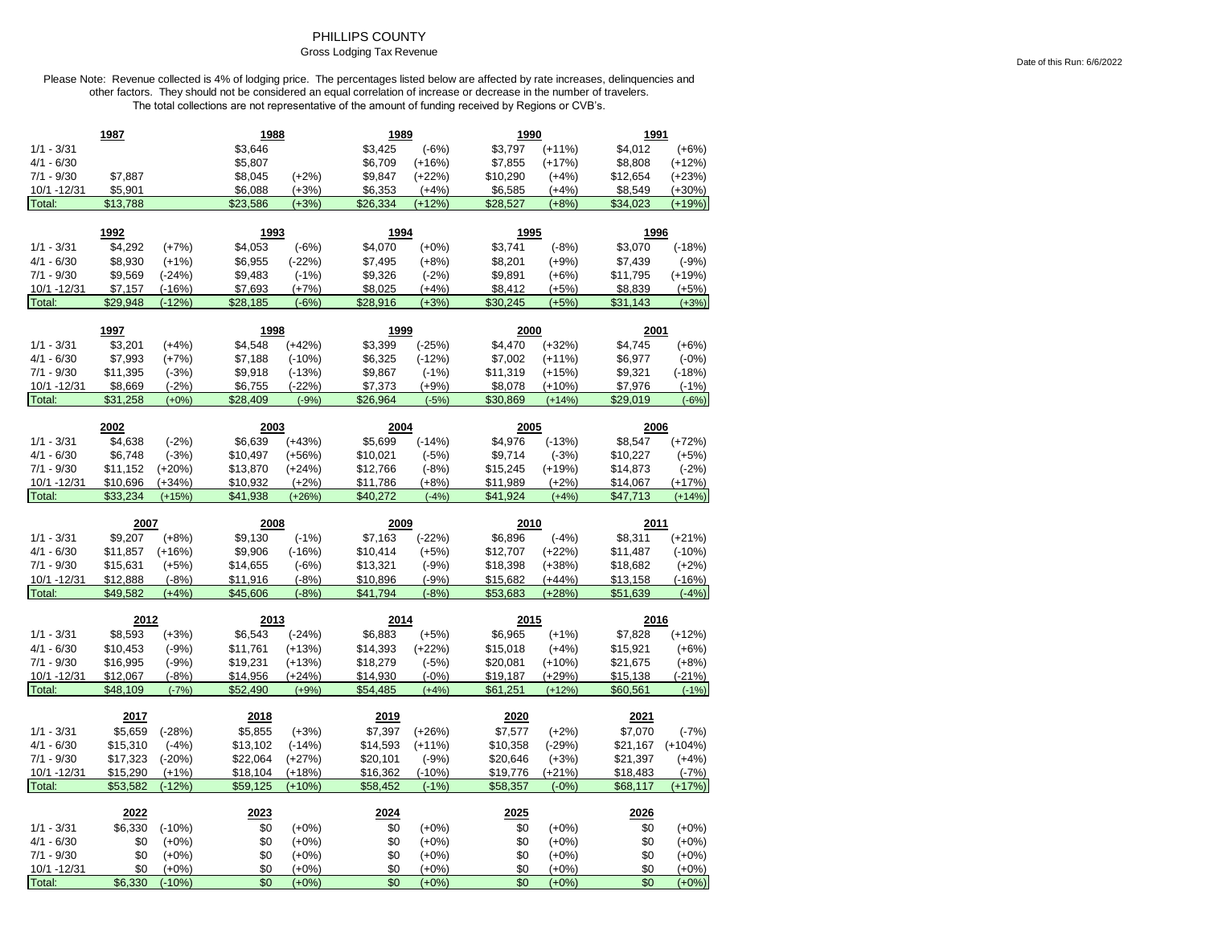## PHILLIPS COUNTY

# Gross Lodging Tax Revenue

|                       | 1987           |                     | 1988       |                    | 1989       |                    | 1990       |                    | 1991       |                    |
|-----------------------|----------------|---------------------|------------|--------------------|------------|--------------------|------------|--------------------|------------|--------------------|
| $1/1 - 3/31$          |                |                     | \$3,646    |                    | \$3,425    | $(-6%)$            | \$3,797    | $(+11%)$           | \$4,012    | $(+6%)$            |
| $4/1 - 6/30$          |                |                     | \$5,807    |                    | \$6,709    | $(+16%)$           | \$7,855    | $(+17%)$           | \$8,808    | $(+12%)$           |
| $7/1 - 9/30$          | \$7,887        |                     | \$8,045    | $(+2%)$            | \$9,847    | $(+22%)$           | \$10,290   | $(+4%)$            | \$12,654   | $(+23%)$           |
| 10/1 - 12/31          | \$5,901        |                     | \$6,088    | $(+3%)$            | \$6,353    | $(+4%)$            | \$6,585    | $(+4%)$            | \$8,549    | $(+30%)$           |
| Total:                | \$13,788       |                     | \$23,586   | $(+3%)$            | \$26,334   | $(+12%)$           | \$28,527   | $(+8%)$            | \$34,023   | $(+19%)$           |
|                       |                |                     |            |                    |            |                    |            |                    |            |                    |
|                       | 1992           |                     | 1993       |                    | 1994       |                    | 1995       |                    | 1996       |                    |
| $1/1 - 3/31$          | \$4,292        | $(+7%)$             | \$4,053    | $(-6%)$            | \$4,070    | $(+0%)$            | \$3,741    | $(-8%)$            | \$3,070    | $(-18%)$           |
| $4/1 - 6/30$          | \$8,930        | $(+1%)$             | \$6,955    | $(-22%)$           | \$7,495    | $(+8%)$            | \$8,201    | $(+9%)$            | \$7,439    | $(-9%)$            |
| $7/1 - 9/30$          | \$9,569        | $(-24%)$            | \$9,483    | $(-1%)$            | \$9,326    | $(-2%)$            | \$9,891    | $(+6%)$            | \$11,795   | $(+19%)$           |
| 10/1 -12/31           | \$7,157        | $(-16%)$            | \$7,693    | (+7%)              | \$8,025    | $(+4%)$            | \$8,412    | $(+5%)$            | \$8,839    | $(+5%)$            |
| Total:                | \$29,948       | $(-12%)$            | \$28,185   | $(-6%)$            | \$28,916   | $(+3%)$            | \$30,245   | $(+5%)$            | \$31,143   | $(+3%)$            |
|                       | 1997           |                     | 1998       |                    | 1999       |                    | 2000       |                    | 2001       |                    |
| $1/1 - 3/31$          | \$3,201        | $(+4%)$             | \$4,548    | $(+42%)$           | \$3,399    | $(-25%)$           | \$4,470    | $(+32%)$           | \$4,745    | $(+6%)$            |
| $4/1 - 6/30$          | \$7,993        | $(+7%)$             | \$7,188    | $(-10%)$           | \$6,325    | $(-12%)$           | \$7,002    | $(+11%)$           | \$6,977    | $(-0%)$            |
| $7/1 - 9/30$          | \$11,395       | $(-3%)$             | \$9,918    | $(-13%)$           | \$9,867    | $(-1%)$            | \$11,319   | $(+15%)$           | \$9,321    | $(-18%)$           |
| 10/1 -12/31           | \$8,669        | $(-2%)$             | \$6,755    | $(-22%)$           | \$7,373    | $(+9%)$            | \$8,078    | $(+10%)$           | \$7,976    | $(-1%)$            |
| Total:                | \$31,258       | $(+0%)$             | \$28,409   | $(-9%)$            | \$26,964   | $(-5%)$            | \$30,869   | $(+14%)$           | \$29,019   | $(-6%)$            |
|                       |                |                     |            |                    |            |                    |            |                    |            |                    |
|                       | 2002           |                     | 2003       |                    | 2004       |                    | 2005       |                    | 2006       |                    |
| $1/1 - 3/31$          | \$4,638        | $(-2%)$             | \$6,639    | $(+43%)$           | \$5,699    | $(-14%)$           | \$4,976    | $(-13%)$           | \$8,547    | $(+72%)$           |
| $4/1 - 6/30$          | \$6,748        | $(-3%)$             | \$10,497   | $(+56%)$           | \$10,021   | $(-5%)$            | \$9,714    | $(-3%)$            | \$10,227   | $(+5%)$            |
| $7/1 - 9/30$          | \$11,152       | $(+20%)$            | \$13,870   | $(+24%)$           | \$12,766   | $(-8%)$            | \$15,245   | $(+19%)$           | \$14,873   | $(-2%)$            |
| 10/1 -12/31           | \$10,696       | (+34%)              | \$10,932   | $(+2%)$            | \$11,786   | $(+8%)$            | \$11,989   | $(+2%)$            | \$14,067   | (+17%)             |
| Total:                | \$33,234       | $(+15%)$            | \$41,938   | $(+26%)$           | \$40,272   | $(-4%)$            | \$41,924   | $(+4%)$            | \$47,713   | $(+14%)$           |
|                       |                |                     |            |                    |            |                    |            |                    |            |                    |
|                       |                |                     |            |                    |            |                    |            |                    |            |                    |
|                       | 2007           |                     | 2008       |                    | 2009       |                    | 2010       |                    | 2011       |                    |
| $1/1 - 3/31$          | \$9,207        | $(+8%)$             | \$9,130    | $(-1%)$            | \$7,163    | $(-22%)$           | \$6,896    | $(-4%)$            | \$8,311    | $(+21%)$           |
| $4/1 - 6/30$          | \$11,857       | $(+16%)$            | \$9,906    | $(-16%)$           | \$10,414   | $(+5%)$            | \$12,707   | $(+22%)$           | \$11,487   | $(-10%)$           |
| $7/1 - 9/30$          | \$15,631       | $(+5%)$             | \$14,655   | $(-6%)$            | \$13,321   | $(-9%)$            | \$18,398   | $(+38%)$           | \$18,682   | $(+2%)$            |
| 10/1 -12/31           | \$12,888       | $(-8%)$             | \$11,916   | $(-8%)$            | \$10,896   | $(-9%)$            | \$15,682   | $(+44%)$           | \$13,158   | $(-16%)$           |
| Total:                | \$49,582       | $(+4%)$             | \$45,606   | $(-8%)$            | \$41,794   | $(-8%)$            | \$53,683   | $(+28%)$           | \$51,639   | $(-4%)$            |
|                       | 2012           |                     | 2013       |                    | 2014       |                    | 2015       |                    | 2016       |                    |
| $1/1 - 3/31$          | \$8,593        | $(+3%)$             | \$6,543    | $(-24%)$           | \$6,883    | $(+5%)$            | \$6,965    | $(+1%)$            | \$7,828    | $(+12%)$           |
| $4/1 - 6/30$          | \$10,453       | $(-9%)$             | \$11,761   | $(+13%)$           | \$14,393   | $(+22%)$           | \$15,018   | $(+4%)$            | \$15,921   | $(+6%)$            |
| $7/1 - 9/30$          | \$16,995       | $(-9%)$             | \$19,231   | (+13%)             | \$18,279   | $(-5%)$            | \$20,081   | $(+10%)$           | \$21,675   | $(+8%)$            |
| 10/1 - 12/31          | \$12,067       | $(-8%)$             | \$14,956   | $(+24%)$           | \$14,930   | $(-0%)$            | \$19,187   | $(+29%)$           | \$15,138   | $(-21%)$           |
| Total:                | \$48,109       | $(-7%)$             | \$52,490   | $(+9%)$            | \$54,485   | $(+4%)$            | \$61,251   | $(+12%)$           | \$60,561   | $(-1%)$            |
|                       |                |                     |            |                    |            |                    |            |                    |            |                    |
|                       | 2017           |                     | 2018       |                    | 2019       |                    | 2020       |                    | 2021       |                    |
| $1/1 - 3/31$          | \$5,659        | $(-28%)$            | \$5,855    | $(+3%)$            | \$7,397    | $(+26%)$           | \$7,577    | $(+2%)$            | \$7,070    | $(-7%)$            |
| $4/1 - 6/30$          | \$15,310       | $(-4%)$             | \$13,102   | $(-14%)$           | \$14,593   | $(+11%)$           | \$10,358   | $(-29%)$           | \$21,167   | $(+104%)$          |
| $7/1 - 9/30$          | \$17,323       | $(-20%)$            | \$22,064   | $(+27%)$           | \$20,101   | $(-9%)$            | \$20,646   | $(+3%)$            | \$21,397   | $(+4%)$            |
| 10/1 - 12/31          | \$15,290       | $(+1%)$             | \$18,104   | $(+18%)$           | \$16,362   | $(-10%)$           | \$19,776   | $(+21%)$           | \$18,483   | $(-7%)$            |
| Total:                | \$53.582       | $(-12%)$            | \$59.125   | $(+10%)$           | \$58,452   | $(-1%$             | \$58,357   | $(-0%$             | \$68.117   | $(+17%)$           |
|                       | 2022           |                     | 2023       |                    | 2024       |                    | 2025       |                    | 2026       |                    |
| $1/1 - 3/31$          | \$6,330        | $(-10%)$            | \$0        | $(+0%)$            | \$0        | $(+0%)$            | \$0        | $(+0%)$            | \$0        | $(+0%)$            |
| $4/1 - 6/30$          | \$0            | $(+0%)$             | \$0        | $(+0%)$            | \$0        | $(+0%)$            | \$0        | $(+0%)$            | \$0        | $(+0%)$            |
| $7/1 - 9/30$          | \$0            | $(+0%)$             | \$0        | $(+0%)$            | \$0        | $(+0%)$            | \$0        | $(+0%)$            | \$0        | $(+0%)$            |
| 10/1 -12/31<br>Total: | \$0<br>\$6,330 | $(+0%)$<br>$(-10%)$ | \$0<br>\$0 | $(+0%)$<br>$(+0%)$ | \$0<br>\$0 | $(+0%)$<br>$(+0%)$ | \$0<br>\$0 | $(+0%)$<br>$(+0%)$ | \$0<br>\$0 | $(+0%)$<br>$(+0%)$ |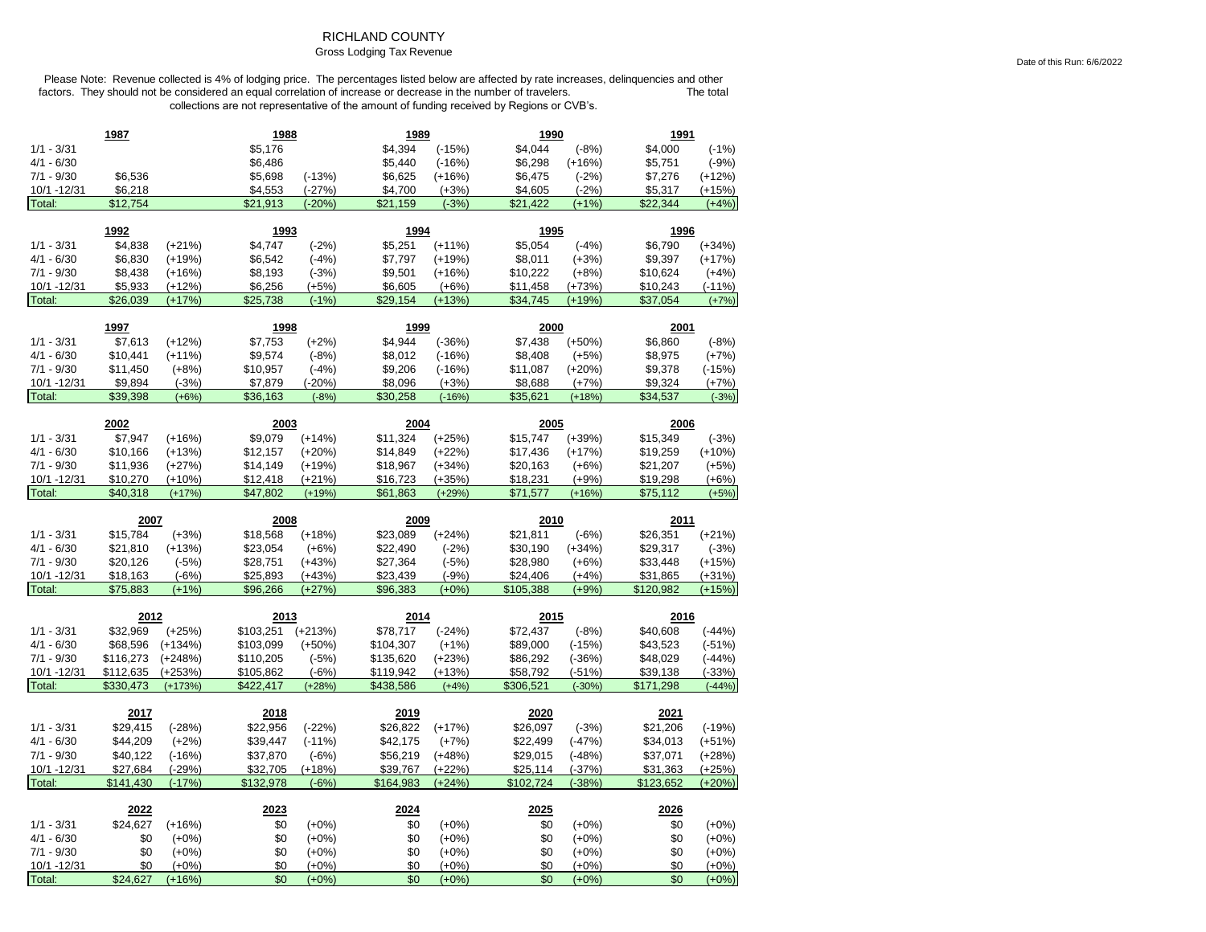## RICHLAND COUNTY

## Gross Lodging Tax Revenue

Please Note: Revenue collected is 4% of lodging price. The percentages listed below are affected by rate increases, delinquencies and other factors. They should not be considered an equal correlation of increase or decrease in the number of travelers. The total The total collections are not representative of the amount of funding received by Regions or CVB's.

|                        | 1987            |                     | 1988       |                    | 1989       |                    | 1990       |                    | 1991       |                    |
|------------------------|-----------------|---------------------|------------|--------------------|------------|--------------------|------------|--------------------|------------|--------------------|
| $1/1 - 3/31$           |                 |                     | \$5,176    |                    | \$4,394    | $(-15%)$           | \$4,044    | $(-8%)$            | \$4,000    | $(-1%)$            |
| $4/1 - 6/30$           |                 |                     | \$6,486    |                    | \$5,440    | $(-16%)$           | \$6,298    | $(+16%)$           | \$5,751    | $(-9%)$            |
| $7/1 - 9/30$           | \$6,536         |                     | \$5,698    | $(-13%)$           | \$6,625    | (+16%)             | \$6,475    | $(-2%)$            | \$7,276    | $(+12%)$           |
| 10/1 - 12/31           | \$6,218         |                     | \$4,553    | $(-27%)$           | \$4,700    | $(+3%)$            | \$4,605    | $(-2%)$            | \$5,317    | $(+15%)$           |
| Total:                 | \$12,754        |                     | \$21,913   | $(-20%)$           | \$21,159   | $(-3%)$            | \$21,422   | $(+1%)$            | \$22,344   | $(+4%)$            |
|                        | 1992            |                     | 1993       |                    | 1994       |                    | 1995       |                    | 1996       |                    |
| $1/1 - 3/31$           | \$4,838         | $(+21%)$            | \$4,747    | $(-2%)$            | \$5,251    | $(+11%)$           | \$5,054    | $(-4%)$            | \$6,790    | $(+34%)$           |
| $4/1 - 6/30$           | \$6,830         | $(+19%)$            | \$6,542    | $(-4%)$            | \$7,797    | $(+19%)$           | \$8,011    | $(+3%)$            | \$9,397    | $(+17%)$           |
| $7/1 - 9/30$           | \$8,438         | $(+16%)$            | \$8,193    | $(-3%)$            | \$9,501    | $(+16%)$           | \$10,222   | $(+8%)$            | \$10,624   | $(+4%)$            |
| 10/1 - 12/31           | \$5,933         | $(+12%)$            | \$6,256    | $(+5%)$            | \$6,605    | $(+6%)$            | \$11,458   | $(+73%)$           | \$10,243   | $(-11%)$           |
| Total:                 | \$26,039        | $(+17%)$            | \$25,738   | $(-1%)$            | \$29,154   | $(+13%)$           | \$34,745   | $(+19%)$           | \$37,054   | $(+7%)$            |
|                        |                 |                     |            |                    |            |                    |            |                    |            |                    |
|                        | 1997            |                     | 1998       |                    | 1999       |                    | 2000       |                    | 2001       |                    |
| $1/1 - 3/31$           | \$7,613         | $(+12%)$            | \$7,753    | $(+2%)$            | \$4,944    | $(-36%)$           | \$7,438    | $(+50%)$           | \$6,860    | $(-8%)$            |
| $4/1 - 6/30$           | \$10,441        | $(+11%)$            | \$9,574    | $(-8%)$            | \$8,012    | $(-16%)$           | \$8,408    | $(+5%)$            | \$8,975    | $(+7%)$            |
| $7/1 - 9/30$           | \$11,450        | $(+8%)$             | \$10,957   | $(-4%)$            | \$9,206    | $(-16%)$           | \$11,087   | $(+20%)$           | \$9,378    | $(-15%)$           |
| 10/1 - 12/31           | \$9,894         | $(-3%)$             | \$7,879    | $(-20%)$           | \$8,096    | $(+3%)$            | \$8,688    | $(+7%)$            | \$9,324    | $(+7%)$            |
| Total:                 | \$39,398        | $(+6%)$             | \$36,163   | $(-8%)$            | \$30,258   | $(-16%)$           | \$35,621   | $(+18%)$           | \$34,537   | $(-3%)$            |
|                        | 2002            |                     | 2003       |                    | 2004       |                    | 2005       |                    | 2006       |                    |
| $1/1 - 3/31$           | \$7,947         | $(+16%)$            | \$9,079    | $(+14%)$           | \$11,324   | $(+25%)$           | \$15,747   | $(+39%)$           | \$15,349   | $(-3%)$            |
| $4/1 - 6/30$           | \$10,166        | $(+13%)$            | \$12,157   | $(+20%)$           | \$14,849   | $(+22%)$           | \$17,436   | $(+17%)$           | \$19,259   | $(+10%)$           |
| $7/1 - 9/30$           | \$11,936        | $(+27%)$            | \$14,149   | $(+19%)$           | \$18,967   | $(+34%)$           | \$20,163   | $(+6%)$            | \$21,207   | $(+5%)$            |
| 10/1 - 12/31           | \$10,270        | $(+10%)$            | \$12,418   | $(+21%)$           | \$16,723   | $(+35%)$           | \$18,231   | $(+9%)$            | \$19,298   | $(+6%)$            |
| Total:                 | \$40,318        | $(+17%)$            | \$47,802   | $(+19%)$           | \$61,863   | $(+29%)$           | \$71,577   | $(+16%)$           | \$75,112   | $(+5%)$            |
|                        |                 |                     |            |                    |            |                    |            |                    |            |                    |
|                        | 2007            |                     | 2008       |                    | 2009       |                    | 2010       |                    | 2011       |                    |
| $1/1 - 3/31$           | \$15,784        | $(+3%)$             | \$18,568   | $(+18%)$           | \$23,089   | $(+24%)$           | \$21,811   | $(-6%)$            | \$26,351   | $(+21%)$           |
| $4/1 - 6/30$           | \$21,810        | $(+13%)$            | \$23,054   | $(+6%)$            | \$22,490   | $(-2%)$            | \$30,190   | (+34%)             | \$29,317   | $(-3%)$            |
| $7/1 - 9/30$           | \$20,126        | $(-5%)$             | \$28,751   | $(+43%)$           | \$27,364   | $(-5%)$            | \$28,980   | $(+6%)$            | \$33,448   | $(+15%)$           |
| 10/1 - 12/31           | \$18,163        | $(-6%)$             | \$25,893   | $(+43%)$           | \$23,439   | $(-9%)$            | \$24,406   | $(+4%)$            | \$31,865   | $(+31%)$           |
| Total:                 | \$75,883        | $(+1%)$             | \$96,266   | $(+27%)$           | \$96,383   | $(+0%)$            | \$105,388  | $(+9%)$            | \$120,982  | $(+15%)$           |
|                        | 2012            |                     | 2013       |                    | 2014       |                    | 2015       |                    | 2016       |                    |
| $1/1 - 3/31$           | \$32,969        | $(+25%)$            | \$103,251  | $(+213%)$          | \$78,717   | $(-24%)$           | \$72,437   | $(-8%)$            | \$40,608   | $(-44%)$           |
| $4/1 - 6/30$           | \$68,596        | $(+134%)$           | \$103,099  | $(+50%)$           | \$104,307  | $(+1%)$            | \$89,000   | $(-15%)$           | \$43,523   | $(-51%)$           |
| $7/1 - 9/30$           | \$116,273       | $(+248%)$           | \$110,205  | $(-5%)$            | \$135,620  | $(+23%)$           | \$86,292   | $(-36%)$           | \$48,029   | $(-44%)$           |
| 10/1 - 12/31           | \$112,635       | $(+253%)$           | \$105,862  | $(-6%)$            | \$119,942  | (+13%)             | \$58,792   | $(-51%)$           | \$39,138   | (-33%)             |
| Total:                 | \$330,473       | $(+173%)$           | \$422,417  | $(+28%)$           | \$438,586  | $(+4%)$            | \$306,521  | $(-30%)$           | \$171,298  | $(-44%)$           |
|                        | 2017            |                     | 2018       |                    | 2019       |                    | 2020       |                    | 2021       |                    |
| $1/1 - 3/31$           | \$29,415        | $(-28%)$            | \$22,956   | $(-22%)$           | \$26,822   | $(+17%)$           | \$26,097   | $(-3%)$            | \$21,206   | $(-19%)$           |
| $4/1 - 6/30$           | \$44,209        | $(+2%)$             | \$39,447   | $(-11%)$           | \$42,175   | $(+7%)$            | \$22,499   | $(-47%)$           | \$34,013   | $(+51%)$           |
| $7/1 - 9/30$           | \$40,122        | $(-16%)$            | \$37,870   | $(-6%)$            | \$56,219   | $(+48%)$           | \$29,015   | $(-48%)$           | \$37,071   | $(+28%)$           |
| 10/1 - 12/31           | \$27,684        | $(-29%)$            | \$32,705   | $(+18%)$           | \$39,767   | $(+22%)$           | \$25,114   | $(-37%)$           | \$31,363   | $(+25%)$           |
| Total:                 | \$141,430       | $(-17%)$            | \$132,978  | $(-6%)$            | \$164,983  | $(+24%)$           | \$102,724  | $(-38%)$           | \$123,652  | $(+20%)$           |
|                        |                 |                     |            |                    |            |                    |            |                    |            |                    |
|                        | 2022            |                     | 2023       |                    | 2024       |                    | 2025       |                    | 2026       |                    |
| $1/1 - 3/31$           | \$24,627        | $(+16%)$            | \$0        | $(+0%)$            | \$0        | $(+0%)$            | \$0        | $(+0%)$            | \$0        | $(+0\%)$           |
| $4/1 - 6/30$           | \$0             | $(+0%)$             | \$0        | $(+0%)$            | \$0        | $(+0%)$            | \$0        | $(+0%)$            | \$0        | $(+0%)$            |
| $7/1 - 9/30$           | \$0             | $(+0%)$             | \$0        | $(+0\%)$           | \$0        | $(+0%)$            | \$0        | $(+0\%)$           | \$0        | $(+0\%)$           |
| 10/1 - 12/31<br>Total: | \$0<br>\$24,627 | $(+0%)$<br>$(+16%)$ | \$0<br>\$0 | $(+0%)$<br>$(+0%)$ | \$0<br>\$0 | $(+0%)$<br>$(+0%)$ | \$0<br>\$0 | $(+0%)$<br>$(+0%)$ | \$0<br>\$0 | $(+0%)$<br>$(+0%)$ |
|                        |                 |                     |            |                    |            |                    |            |                    |            |                    |

Date of this Run: 6/6/2022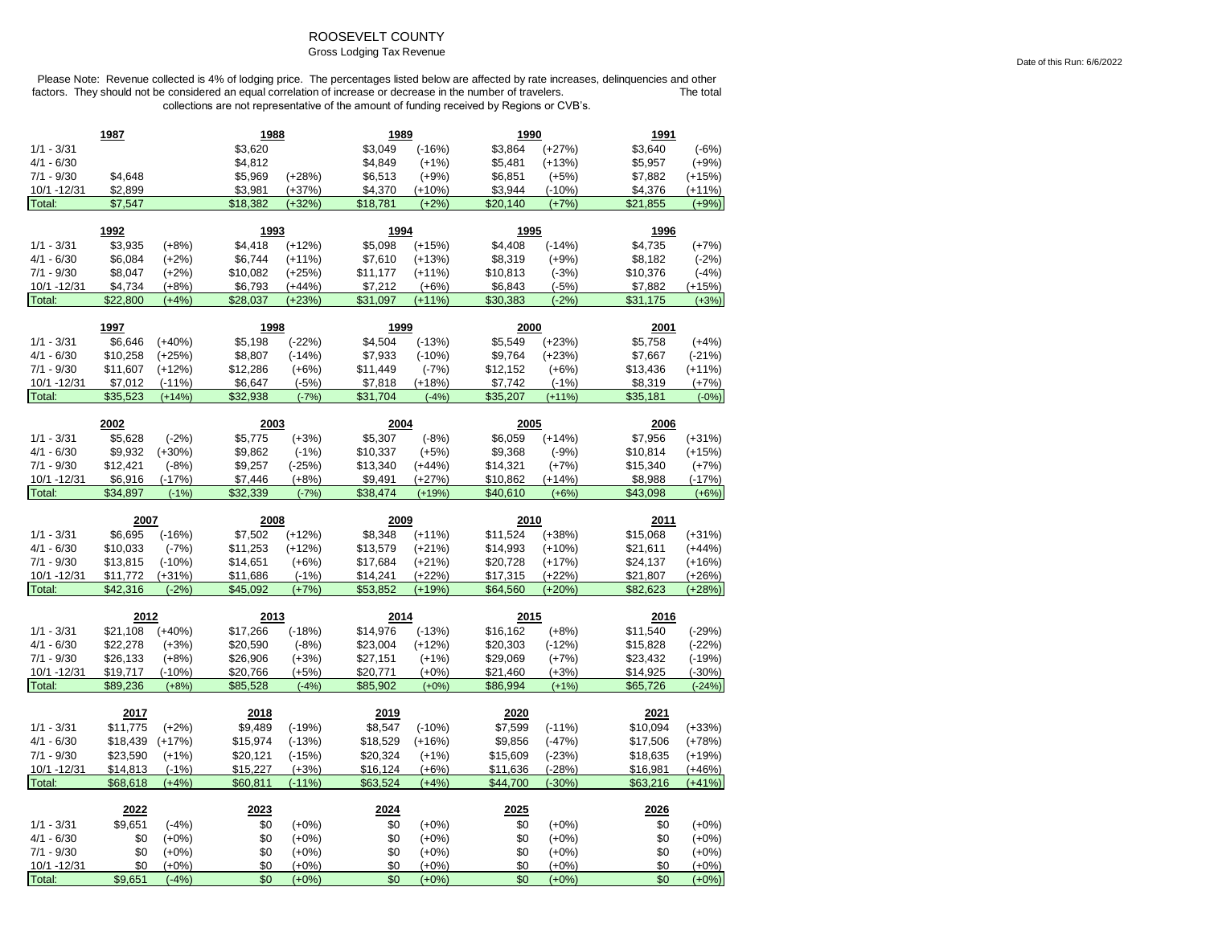# ROOSEVELT COUNTY

## Gross Lodging Tax Revenue

|                       | 1987                |                     | 1988                |                      | 1989                 |                     | 1990                |                      | 1991                |                     |
|-----------------------|---------------------|---------------------|---------------------|----------------------|----------------------|---------------------|---------------------|----------------------|---------------------|---------------------|
| $1/1 - 3/31$          |                     |                     | \$3,620             |                      | \$3,049              | $(-16%)$            | \$3,864             | $(+27%)$             | \$3,640             | $(-6%)$             |
| $4/1 - 6/30$          |                     |                     | \$4,812             |                      | \$4,849              | $(+1%)$             | \$5,481             | $(+13%)$             | \$5,957             | $(+9%)$             |
| $7/1 - 9/30$          | \$4,648             |                     | \$5,969             | $(+28%)$             | \$6,513              | $(+9%)$             | \$6,851             | $(+5%)$              | \$7,882             | $(+15%)$            |
| 10/1 -12/31           | \$2,899             |                     | \$3,981             | $(+37%)$             | \$4,370              | $(+10%)$            | \$3,944             | $(-10%)$             | \$4,376             | $(+11%)$            |
| Total:                | \$7,547             |                     | \$18,382            | $(+32%)$             | \$18,781             | $(+2%)$             | \$20,140            | $(+7%)$              | \$21,855            | $(+9%)$             |
|                       |                     |                     |                     |                      |                      |                     |                     |                      |                     |                     |
|                       | 1992                |                     | 1993                |                      | 1994                 |                     | 1995                |                      | 1996                |                     |
| $1/1 - 3/31$          | \$3,935             | $(+8%)$             | \$4,418             | $(+12%)$             | \$5,098              | $(+15%)$            | \$4,408             | $(-14%)$             | \$4,735             | $(+7%)$             |
| $4/1 - 6/30$          | \$6,084             | $(+2%)$             | \$6,744             | $(+11%)$             | \$7,610              | $(+13%)$            | \$8,319             | $(+9%)$              | \$8,182             | $(-2%)$             |
| $7/1 - 9/30$          | \$8,047             | $(+2%)$             | \$10,082            | $(+25%)$             | \$11,177             | $(+11%)$            | \$10,813            | $(-3%)$              | \$10,376            | $(-4%)$             |
| 10/1 -12/31<br>Total: | \$4,734<br>\$22,800 | $(+8%)$<br>$(+4%)$  | \$6,793<br>\$28,037 | (+44%)<br>$(+23%)$   | \$7,212<br>\$31,097  | $(+6%)$<br>$(+11%)$ | \$6,843<br>\$30,383 | $(-5%)$<br>$(-2%)$   | \$7,882<br>\$31,175 | $(+15%)$<br>$(+3%)$ |
|                       |                     |                     |                     |                      |                      |                     |                     |                      |                     |                     |
|                       | 1997                |                     | 1998                |                      | 1999                 |                     | 2000                |                      | 2001                |                     |
| $1/1 - 3/31$          | \$6,646             | $(+40%)$            | \$5,198             | $(-22%)$             | \$4,504              | $(-13%)$            | \$5,549             | $(+23%)$             | \$5,758             | $(+4%)$             |
| $4/1 - 6/30$          | \$10,258            | $(+25%)$            | \$8,807             | $(-14%)$             | \$7,933              | $(-10%)$            | \$9,764             | $(+23%)$             | \$7,667             | $(-21%)$            |
| $7/1 - 9/30$          | \$11,607            | $(+12%)$            | \$12,286            | $(+6%)$              | \$11,449             | $(-7%)$             | \$12,152            | $(+6%)$              | \$13,436            | $(+11%)$            |
| 10/1 -12/31           | \$7,012             | $(-11%)$            | \$6,647             | $(-5%)$              | \$7,818              | $(+18%)$            | \$7,742             | $(-1%)$              | \$8,319             | $(+7%)$             |
| Total:                | \$35,523            | $(+14%)$            | \$32,938            | $(-7%)$              | \$31.704             | $(-4%)$             | \$35,207            | $(+11%)$             | \$35,181            | $(-0%)$             |
|                       |                     |                     |                     |                      |                      |                     |                     |                      |                     |                     |
|                       | 2002                |                     | 2003                |                      | 2004                 |                     | 2005                |                      | 2006                |                     |
| $1/1 - 3/31$          | \$5,628             | $(-2%)$             | \$5,775             | $(+3%)$              | \$5,307              | $(-8%)$             | \$6,059             | $(+14%)$             | \$7,956             | $(+31%)$            |
| $4/1 - 6/30$          | \$9,932             | $(+30%)$            | \$9,862             | $(-1%)$              | \$10,337             | $(+5%)$             | \$9,368             | $(-9%)$              | \$10,814            | $(+15%)$            |
| $7/1 - 9/30$          | \$12,421            | $(-8%)$             | \$9,257             | $(-25%)$             | \$13,340             | $(+44%)$            | \$14,321            | $(+7%)$              | \$15,340            | $(+7%)$             |
| 10/1 - 12/31          | \$6,916             | $(-17%)$            | \$7,446             | $(+8%)$              | \$9,491              | $(+27%)$            | \$10,862            | $(+14%)$             | \$8,988             | $(-17%)$            |
| Total:                | \$34,897            | $(-1%)$             | \$32,339            | $(-7%)$              | \$38.474             | $(+19%)$            | \$40,610            | $(+6%)$              | \$43,098            | $(+6%)$             |
|                       |                     |                     |                     |                      |                      |                     |                     |                      |                     |                     |
|                       |                     |                     |                     |                      |                      |                     |                     |                      |                     |                     |
|                       | 2007                |                     | 2008                |                      | 2009                 |                     | 2010                |                      | 2011                |                     |
| $1/1 - 3/31$          | \$6,695             | $(-16%)$            | \$7,502             | $(+12%)$             | \$8,348              | $(+11%)$            | \$11,524            | $(+38%)$             | \$15,068            | $(+31%)$            |
| $4/1 - 6/30$          | \$10,033            | $(-7%)$             | \$11,253            | $(+12%)$             | \$13,579             | $(+21%)$            | \$14,993            | $(+10%)$             | \$21,611            | $(+44%)$            |
| $7/1 - 9/30$          | \$13,815            | $(-10%)$            | \$14,651            | $(+6%)$              | \$17,684             | $(+21%)$            | \$20,728            | $(+17%)$             | \$24,137            | $(+16%)$            |
| 10/1 - 12/31          | \$11,772            | $(+31%)$            | \$11,686            | $(-1%)$              | \$14,241             | $(+22%)$            | \$17,315            | $(+22%)$             | \$21,807            | $(+26%)$            |
| Total:                | \$42,316            | $(-2%)$             | \$45,092            | $(+7%)$              | \$53,852             | $(+19%)$            | \$64,560            | $(+20%)$             | \$82,623            | $(+28%)$            |
|                       |                     |                     |                     |                      |                      |                     |                     |                      |                     |                     |
|                       | 2012                |                     | 2013                |                      | 2014                 |                     | 2015                |                      | 2016                |                     |
| $1/1 - 3/31$          | \$21,108            | $(+40%)$            | \$17,266            | $(-18%)$             | \$14,976             | $(-13%)$            | \$16,162            | $(+8%)$              | \$11,540            | $(-29%)$            |
| $4/1 - 6/30$          | \$22,278            | $(+3%)$             | \$20,590            | $(-8%)$              | \$23,004             | $(+12%)$            | \$20,303            | $(-12%)$             | \$15,828            | $(-22%)$            |
| $7/1 - 9/30$          | \$26,133            | $(+8%)$             | \$26,906            | $(+3%)$              | \$27,151             | $(+1%)$             | \$29,069            | $(+7%)$              | \$23,432            | $(-19%)$            |
| 10/1 - 12/31          | \$19,717            | $(-10%)$            | \$20,766            | $(+5%)$              | \$20,771             | $(+0%)$             | \$21,460            | $(+3%)$              | \$14,925            | $(-30%)$            |
| Total:                | \$89,236            | $(+8%)$             | \$85,528            | $(-4%)$              | \$85,902             | $(+0%)$             | \$86,994            | $(+1%)$              | \$65,726            | $(-24%)$            |
|                       | 2017                |                     | 2018                |                      | 2019                 |                     | 2020                |                      | 2021                |                     |
| $1/1 - 3/31$          | \$11,775            |                     | \$9,489             |                      | \$8,547              | $(-10%)$            |                     |                      | \$10,094            | $(+33%)$            |
| $4/1 - 6/30$          | \$18,439            | $(+2%)$<br>$(+17%)$ | \$15,974            | $(-19%)$<br>$(-13%)$ |                      | $(+16%)$            | \$7,599<br>\$9,856  | $(-11%)$<br>$(-47%)$ | \$17,506            | $(+78%)$            |
| $7/1 - 9/30$          | \$23,590            | $(+1%)$             | \$20,121            | $(-15%)$             | \$18,529<br>\$20,324 |                     | \$15,609            | $(-23%)$             | \$18,635            | $(+19%)$            |
| 10/1 -12/31           | \$14,813            | $(-1%)$             | \$15,227            | $(+3%)$              | \$16,124             | $(+1%)$<br>$(+6%)$  | \$11,636            | $(-28%)$             | \$16,981            | $(+46%)$            |
| Total:                | \$68,618            | $(+4%)$             | \$60,811            | $(-11%)$             | \$63,524             | $(+4%)$             | \$44,700            | $(-30%)$             | \$63,216            | $(+41%)$            |
|                       |                     |                     |                     |                      |                      |                     |                     |                      |                     |                     |
|                       | 2022                |                     | 2023                |                      | 2024                 |                     | 2025                |                      | 2026                |                     |
| $1/1 - 3/31$          | \$9,651             | $(-4%)$             | \$0                 | $(+0%)$              | \$0                  | $(+0%)$             | \$0                 | $(+0%)$              | \$0                 | $(+0%)$             |
| $4/1 - 6/30$          | \$0                 | $(+0%)$             | \$0                 | $(+0%)$              | \$0                  | $(+0%)$             | \$0                 | $(+0%)$              | \$0                 | $(+0%)$             |
| $7/1 - 9/30$          | \$0                 | $(+0\%)$            | \$0                 | $(+0%)$              | \$0                  | $(+0\%)$            | \$0                 | $(+0%)$              | \$0                 | $(+0%)$             |
| 10/1 -12/31<br>Total: | \$0<br>\$9,651      | $(+0%)$<br>$(-4%)$  | \$0<br>\$0          | $(+0%)$<br>$(+0%)$   | \$0<br>\$0           | $(+0%)$<br>$(+0%)$  | \$0<br>\$0          | $(+0%)$<br>$(+0%)$   | \$0<br>\$0          | $(+0%)$<br>$(+0%)$  |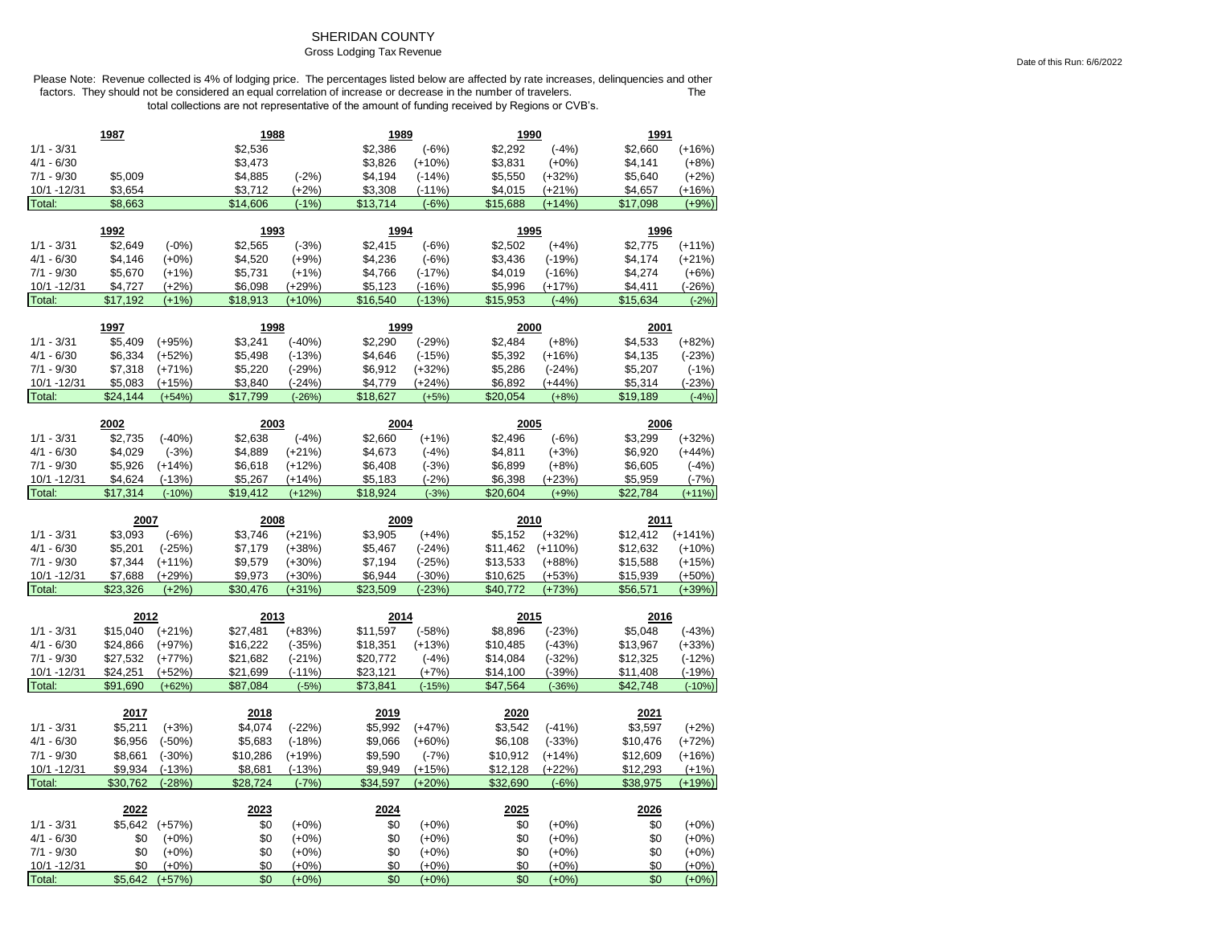# SHERIDAN COUNTY

## Gross Lodging Tax Revenue

|                              | 1987                 |                      | 1988                 |                      | 1989                 |                      | 1990            |                      | 1991            |                     |
|------------------------------|----------------------|----------------------|----------------------|----------------------|----------------------|----------------------|-----------------|----------------------|-----------------|---------------------|
| $1/1 - 3/31$                 |                      |                      | \$2,536              |                      | \$2,386              | $(-6%)$              | \$2,292         | $(-4%)$              | \$2,660         | $(+16%)$            |
| $4/1 - 6/30$                 |                      |                      | \$3,473              |                      | \$3,826              | $(+10%)$             | \$3,831         | $(+0%)$              | \$4,141         | $(+8%)$             |
| $7/1 - 9/30$                 | \$5,009              |                      | \$4,885              | $(-2%)$              | \$4,194              | $(-14%)$             | \$5,550         | $(+32%)$             | \$5,640         | $(+2%)$             |
| 10/1 -12/31                  | \$3,654              |                      | \$3,712              | $(+2%)$              | \$3,308              | $(-11%)$             | \$4,015         | $(+21%)$             | \$4,657         | (+16%)              |
| Total:                       | \$8,663              |                      | \$14,606             | $(-1%)$              | \$13,714             | $(-6%)$              | \$15,688        | $(+14%)$             | \$17,098        | $(+9%)$             |
|                              | 1992                 |                      |                      |                      | 1994                 |                      | 1995            |                      | 1996            |                     |
|                              | \$2,649              | $(-0%)$              | 1993<br>\$2,565      | $(-3%)$              | \$2,415              | $(-6%)$              | \$2,502         | $(+4%)$              | \$2,775         | $(+11%)$            |
| $1/1 - 3/31$<br>$4/1 - 6/30$ | \$4,146              |                      | \$4,520              |                      | \$4,236              |                      | \$3,436         | $(-19%)$             | \$4,174         |                     |
| $7/1 - 9/30$                 | \$5,670              | $(+0\%)$             | \$5,731              | $(+9%)$              | \$4,766              | $(-6%)$              | \$4,019         |                      | \$4,274         | $(+21%)$<br>$(+6%)$ |
| 10/1 -12/31                  | \$4,727              | $(+1%)$<br>$(+2%)$   | \$6,098              | $(+1%)$<br>$(+29%)$  | \$5,123              | $(-17%)$<br>$(-16%)$ | \$5,996         | $(-16%)$<br>$(+17%)$ | \$4,411         | $(-26%)$            |
| Total:                       | \$17,192             | $(+1%)$              | \$18,913             | $(+10%)$             | \$16,540             | $(-13%)$             | \$15,953        | $(-4%)$              | \$15,634        | $(-2%)$             |
|                              |                      |                      |                      |                      |                      |                      |                 |                      |                 |                     |
|                              | 1997                 |                      | 1998                 |                      | 1999                 |                      | 2000            |                      | 2001            |                     |
| $1/1 - 3/31$                 | \$5,409              | $(+95%)$             | \$3,241              | $(-40%)$             | \$2,290              | $(-29%)$             | \$2,484         | $(+8%)$              | \$4,533         | $(+82%)$            |
| $4/1 - 6/30$                 | \$6,334              | $(+52%)$             | \$5,498              | $(-13%)$             | \$4,646              | $(-15%)$             | \$5,392         | $(+16%)$             | \$4,135         | $(-23%)$            |
| $7/1 - 9/30$                 | \$7,318              | $(+71%)$             | \$5,220              | $(-29%)$             | \$6,912              | $(+32%)$             | \$5,286         | $(-24%)$             | \$5,207         | $(-1%)$             |
| 10/1 -12/31                  | \$5,083              | $(+15%)$             | \$3,840              | $(-24%)$             | \$4,779              | $(+24%)$             | \$6,892         | $(+44%)$             | \$5,314         | $(-23%)$            |
| Total:                       | \$24,144             | $(+54%)$             | \$17,799             | $(-26%)$             | \$18,627             | $(+5%)$              | \$20,054        | $(+8%)$              | \$19,189        | $(-4%)$             |
|                              | 2002                 |                      | 2003                 |                      | 2004                 |                      | 2005            |                      | 2006            |                     |
| $1/1 - 3/31$                 | \$2,735              | $(-40%)$             | \$2,638              | $(-4%)$              | \$2,660              | $(+1%)$              | \$2,496         | $(-6%)$              | \$3,299         | $(+32%)$            |
| $4/1 - 6/30$                 | \$4,029              | $(-3%)$              | \$4,889              | $(+21%)$             | \$4,673              | $(-4%)$              | \$4,811         | $(+3%)$              | \$6,920         | $(+44%)$            |
| $7/1 - 9/30$                 | \$5,926              | $(+14%)$             | \$6,618              | $(+12%)$             | \$6,408              | $(-3%)$              | \$6,899         | $(+8%)$              | \$6,605         | $(-4%)$             |
| 10/1 - 12/31                 | \$4,624              | $(-13%)$             | \$5,267              | (+14%)               | \$5,183              | $(-2%)$              | \$6,398         | $(+23%)$             | \$5,959         | $(-7%)$             |
| Total:                       | \$17,314             | $(-10%)$             | \$19,412             | $(+12%)$             | \$18,924             | $(-3%)$              | \$20,604        | $(+9%)$              | \$22,784        | $(+11%)$            |
|                              |                      |                      |                      |                      |                      |                      |                 |                      |                 |                     |
|                              |                      |                      |                      |                      |                      |                      |                 |                      |                 |                     |
|                              | 2007                 |                      | 2008                 |                      | 2009                 |                      | 2010            |                      | 2011            |                     |
| $1/1 - 3/31$                 | \$3,093              | $(-6%)$              | \$3,746              | $(+21%)$             | \$3,905              | $(+4%)$              | \$5,152         | $(+32%)$             | \$12,412        | $(+141%)$           |
| $4/1 - 6/30$                 | \$5,201              | $(-25%)$             | \$7,179              | $(+38%)$             | \$5,467              | $(-24%)$             | \$11,462        | $(+110%)$            | \$12,632        | $(+10%)$            |
| $7/1 - 9/30$                 | \$7,344              | $(+11%)$             | \$9,579              | $(+30%)$             | \$7,194              | $(-25%)$             | \$13,533        | $(+88%)$             | \$15,588        | $(+15%)$            |
| 10/1 - 12/31                 | \$7,688              | $(+29%)$             | \$9,973              | $(+30%)$             | \$6,944              | $(-30%)$             | \$10,625        | $(+53%)$             | \$15,939        | $(+50%)$            |
| Total:                       | \$23,326             | $(+2%)$              | \$30,476             | $(+31%)$             | \$23,509             | $(-23%)$             | \$40,772        | $(+73%)$             | \$56,571        | $(+39%)$            |
|                              |                      |                      |                      |                      |                      |                      |                 |                      |                 |                     |
| $1/1 - 3/31$                 | 2012<br>\$15,040     |                      | 2013                 |                      | 2014                 |                      | 2015<br>\$8,896 |                      | 2016<br>\$5,048 | $(-43%)$            |
| $4/1 - 6/30$                 | \$24,866             | $(+21%)$<br>$(+97%)$ | \$27,481<br>\$16,222 | $(+83%)$<br>$(-35%)$ | \$11,597<br>\$18,351 | $(-58%)$<br>$(+13%)$ | \$10,485        | $(-23%)$<br>$(-43%)$ | \$13,967        | $(+33%)$            |
| $7/1 - 9/30$                 |                      |                      | \$21,682             | $(-21%)$             | \$20,772             |                      | \$14,084        |                      | \$12,325        | $(-12%)$            |
| 10/1 - 12/31                 | \$27,532<br>\$24,251 | $(+77%)$<br>$(+52%)$ | \$21,699             | $(-11%)$             | \$23,121             | $(-4%)$<br>$(+7%)$   | \$14,100        | $(-32%)$<br>$(-39%)$ | \$11,408        | $(-19%)$            |
| Total:                       | \$91,690             | $(+62%)$             | \$87,084             | $(-5%)$              | \$73,841             | $(-15%)$             | \$47,564        | $(-36%)$             | \$42,748        | $(-10%)$            |
|                              |                      |                      |                      |                      |                      |                      |                 |                      |                 |                     |
|                              | 2017                 |                      | 2018                 |                      | 2019                 |                      | 2020            |                      | 2021            |                     |
| $1/1 - 3/31$                 | \$5,211              | $(+3%)$              | \$4,074              | $(-22%)$             | \$5,992              | $(+47%)$             | \$3,542         | $(-41%)$             | \$3,597         | $(+2%)$             |
| $4/1 - 6/30$                 | \$6,956              | $(-50%)$             | \$5,683              | $(-18%)$             | \$9,066              | $(+60%)$             | \$6,108         | $(-33%)$             | \$10,476        | $(+72%)$            |
| $7/1 - 9/30$                 | \$8,661              | $(-30%)$             | \$10,286             | $(+19%)$             | \$9,590              | $(-7%)$              | \$10,912        | $(+14%)$             | \$12,609        | $(+16%)$            |
| 10/1 -12/31                  | \$9,934              | $(-13%)$             | \$8,681              | $(-13%)$             | \$9,949              | $(+15%)$             | \$12,128        | $(+22%)$             | \$12,293        | $(+1%)$             |
| Total:                       | \$30.762             | $(-28%)$             | \$28.724             | $(-7%)$              | \$34.597             | $(+20%)$             | \$32.690        | $(-6%)$              | \$38.975        | $(+19%)$            |
|                              | 2022                 |                      | 2023                 |                      | 2024                 |                      | 2025            |                      | 2026            |                     |
| $1/1 - 3/31$                 | \$5,642              | $(+57%)$             | \$0                  | $(+0%)$              | \$0                  | $(+0\%)$             | \$0             | $(+0%)$              | \$0             | $(+0%)$             |
| $4/1 - 6/30$                 | \$0                  | $(+0%)$              | \$0                  | $(+0%)$              | \$0                  | $(+0%)$              | \$0             | $(+0%)$              | \$0             | $(+0%)$             |
| $7/1 - 9/30$                 | \$0                  | $(+0%)$              | \$0                  | $(+0%)$              | \$0                  | $(+0%)$              | \$0             | $(+0%)$              | \$0             | $(+0%)$             |
| 10/1 - 12/31                 | \$0<br>\$5,642       | $(+0%)$<br>$(+57%)$  | \$0<br>\$0           | $(+0%)$              | \$0<br>\$0           | $(+0%)$              | \$0<br>\$0      | $(+0%)$              | \$0             | $(+0%)$             |